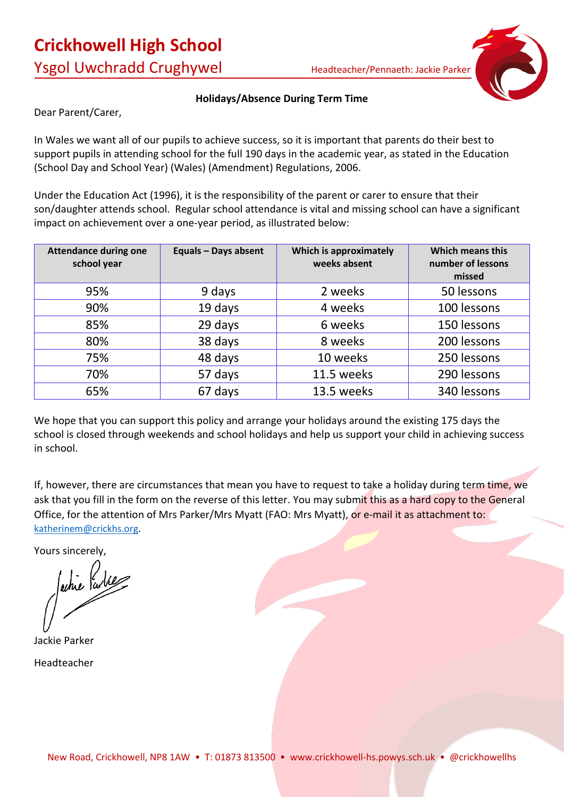

### **Holidays/Absence During Term Time**

Dear Parent/Carer,

In Wales we want all of our pupils to achieve success, so it is important that parents do their best to support pupils in attending school for the full 190 days in the academic year, as stated in the Education (School Day and School Year) (Wales) (Amendment) Regulations, 2006.

Under the Education Act (1996), it is the responsibility of the parent or carer to ensure that their son/daughter attends school. Regular school attendance is vital and missing school can have a significant impact on achievement over a one-year period, as illustrated below:

| <b>Attendance during one</b><br>school year | <b>Equals - Days absent</b> | Which is approximately<br>weeks absent | <b>Which means this</b><br>number of lessons<br>missed |
|---------------------------------------------|-----------------------------|----------------------------------------|--------------------------------------------------------|
| 95%                                         | 9 days                      | 2 weeks                                | 50 lessons                                             |
| 90%                                         | 19 days                     | 4 weeks                                | 100 lessons                                            |
| 85%                                         | 29 days                     | 6 weeks                                | 150 lessons                                            |
| 80%                                         | 38 days                     | 8 weeks                                | 200 lessons                                            |
| 75%                                         | 48 days                     | 10 weeks                               | 250 lessons                                            |
| 70%                                         | 57 days                     | 11.5 weeks                             | 290 lessons                                            |
| 65%                                         | 67 days                     | 13.5 weeks                             | 340 lessons                                            |

We hope that you can support this policy and arrange your holidays around the existing 175 days the school is closed through weekends and school holidays and help us support your child in achieving success in school.

If, however, there are circumstances that mean you have to request to take a holiday during term time, we ask that you fill in the form on the reverse of this letter. You may submit this as a hard copy to the General Office, for the attention of Mrs Parker/Mrs Myatt (FAO: Mrs Myatt), or e-mail it as attachment to: [katherinem@crickhs.org.](mailto:katherinem@crickhs.org)

Yours sincerely,

achie Parke

Jackie Parker Headteacher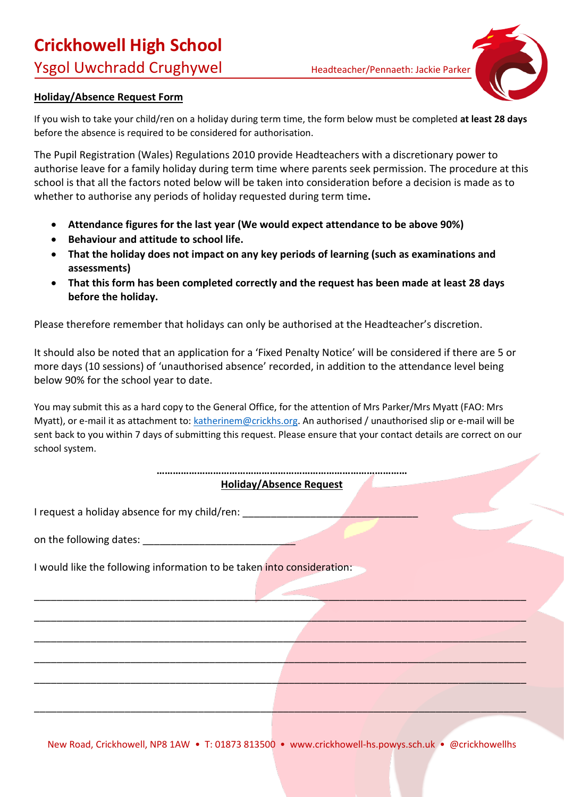# **Crickhowell High School**

Ysgol Uwchradd Crughywel Headteacher/Pennaeth: Jackie Parker



# **Holiday/Absence Request Form**

If you wish to take your child/ren on a holiday during term time, the form below must be completed **at least 28 days** before the absence is required to be considered for authorisation.

The Pupil Registration (Wales) Regulations 2010 provide Headteachers with a discretionary power to authorise leave for a family holiday during term time where parents seek permission. The procedure at this school is that all the factors noted below will be taken into consideration before a decision is made as to whether to authorise any periods of holiday requested during term time**.** 

- **Attendance figures for the last year (We would expect attendance to be above 90%)**
- **Behaviour and attitude to school life.**
- **That the holiday does not impact on any key periods of learning (such as examinations and assessments)**
- **That this form has been completed correctly and the request has been made at least 28 days before the holiday.**

Please therefore remember that holidays can only be authorised at the Headteacher's discretion.

It should also be noted that an application for a 'Fixed Penalty Notice' will be considered if there are 5 or more days (10 sessions) of 'unauthorised absence' recorded, in addition to the attendance level being below 90% for the school year to date.

You may submit this as a hard copy to the General Office, for the attention of Mrs Parker/Mrs Myatt (FAO: Mrs Myatt), or e-mail it as attachment to: [katherinem@crickhs.org.](mailto:katherinem@crickhs.org) An authorised / unauthorised slip or e-mail will be sent back to you within 7 days of submitting this request. Please ensure that your contact details are correct on our school system.

#### **………………………………………………………………………………… Holiday/Absence Request**

\_\_\_\_\_\_\_\_\_\_\_\_\_\_\_\_\_\_\_\_\_\_\_\_\_\_\_\_\_\_\_\_\_\_\_\_\_\_\_\_\_\_\_\_\_\_\_\_\_\_\_\_\_\_\_\_\_\_\_\_\_\_\_\_\_\_\_\_\_\_\_\_\_\_\_\_\_\_\_\_\_\_\_\_\_\_\_

\_\_\_\_\_\_\_\_\_\_\_\_\_\_\_\_\_\_\_\_\_\_\_\_\_\_\_\_\_\_\_\_\_\_\_\_\_\_\_\_\_\_\_\_\_\_\_\_\_\_\_\_\_\_\_\_\_\_\_\_\_\_\_\_\_\_\_\_\_\_\_\_\_\_\_\_\_\_\_\_\_\_\_\_\_\_\_

\_\_\_\_\_\_\_\_\_\_\_\_\_\_\_\_\_\_\_\_\_\_\_\_\_\_\_\_\_\_\_\_\_\_\_\_\_\_\_\_\_\_\_\_\_\_\_\_\_\_\_\_\_\_\_\_\_\_\_\_\_\_\_\_\_\_\_\_\_\_\_\_\_\_\_\_\_\_\_\_\_\_\_\_\_\_\_

\_\_\_\_\_\_\_\_\_\_\_\_\_\_\_\_\_\_\_\_\_\_\_\_\_\_\_\_\_\_\_\_\_\_\_\_\_\_\_\_\_\_\_\_\_\_\_\_\_\_\_\_\_\_\_\_\_\_\_\_\_\_\_\_\_\_\_\_\_\_\_\_\_\_\_\_\_\_\_\_\_\_\_\_\_\_\_

\_\_\_\_\_\_\_\_\_\_\_\_\_\_\_\_\_\_\_\_\_\_\_\_\_\_\_\_\_\_\_\_\_\_\_\_\_\_\_\_\_\_\_\_\_\_\_\_\_\_\_\_\_\_\_\_\_\_\_\_\_\_\_\_\_\_\_\_\_\_\_\_\_\_\_\_\_\_\_\_\_\_\_\_\_\_\_

\_\_\_\_\_\_\_\_\_\_\_\_\_\_\_\_\_\_\_\_\_\_\_\_\_\_\_\_\_\_\_\_\_\_\_\_\_\_\_\_\_\_\_\_\_\_\_\_\_\_\_\_\_\_\_\_\_\_\_\_\_\_\_\_\_\_\_\_\_\_\_\_\_\_\_\_\_\_\_\_\_\_\_\_\_\_\_

I request a holiday absence for my child/ren:

on the following dates:

I would like the following information to be taken into consideration: